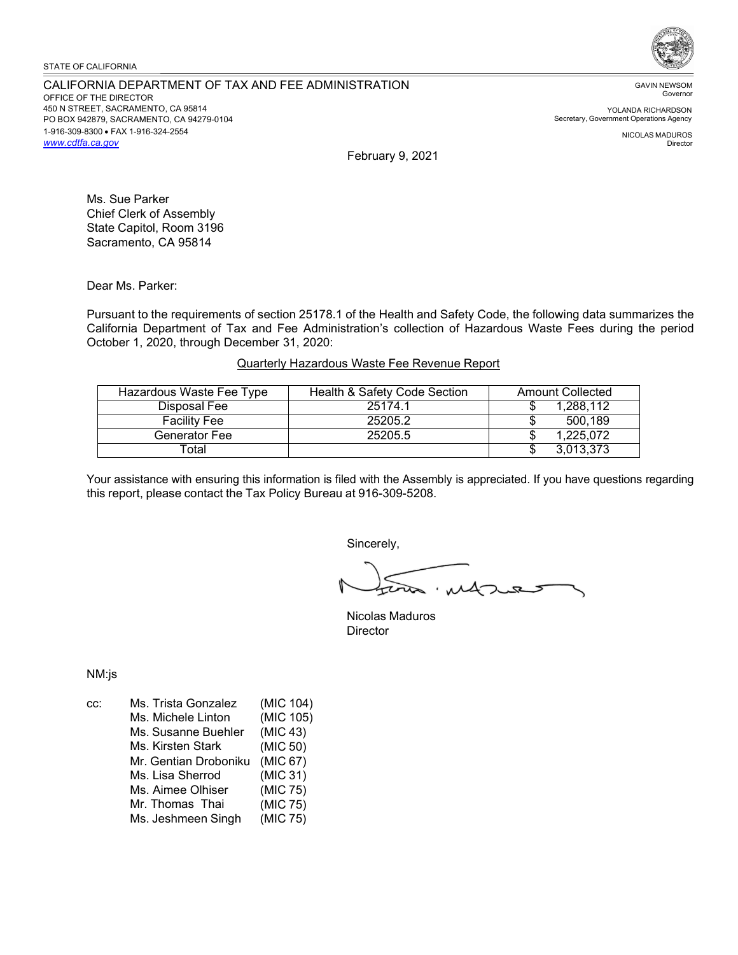### STATE OF CALIFORNIA

#### CALIFORNIA DEPARTMENT OF TAX AND FEE ADMINISTRATION OFFICE OF THE DIRECTOR 450 N STREET, SACRAMENTO, CA 95814 PO BOX 942879, SACRAMENTO, CA 94279-0104 1-916-309-8300 • FAX 1-916-324-2554 *[www.cdtfa.ca.gov](http://www.cdtfa.ca.gov/)*



GAVIN NEWSOM Governor

YOLANDA RICHARDSON Secretary, Government Operations Agency

> NICOLAS MADUROS Director

February 9, 2021

Ms. Sue Parker Chief Clerk of Assembly State Capitol, Room 3196 Sacramento, CA 95814

Dear Ms. Parker:

Pursuant to the requirements of section 25178.1 of the Health and Safety Code, the following data summarizes the California Department of Tax and Fee Administration's collection of Hazardous Waste Fees during the period October 1, 2020, through December 31, 2020:

# Quarterly Hazardous Waste Fee Revenue Report

| Hazardous Waste Fee Type | Health & Safety Code Section | <b>Amount Collected</b> |
|--------------------------|------------------------------|-------------------------|
| Disposal Fee             | 25174.1                      | 1,288,112               |
| <b>Facility Fee</b>      | 25205.2                      | 500,189                 |
| Generator Fee            | 25205.5                      | 1,225,072               |
| Total                    |                              | 3,013,373               |

Your assistance with ensuring this information is filed with the Assembly is appreciated. If you have questions regarding this report, please contact the Tax Policy Bureau at 916-309-5208.

Sincerely,

impres

Nicolas Maduros **Director** 

NM:js

| CC: | Ms. Trista Gonzalez   | (MIC 104) |
|-----|-----------------------|-----------|
|     | Ms. Michele Linton    | (MIC 105) |
|     | Ms. Susanne Buehler   | (MIC 43)  |
|     | Ms. Kirsten Stark     | (MIC 50)  |
|     | Mr. Gentian Droboniku | (MIC 67)  |
|     | Ms. Lisa Sherrod      | (MIC 31)  |
|     | Ms. Aimee Olhiser     | (MIC 75)  |
|     | Mr. Thomas Thai       | (MIC 75)  |
|     | Ms. Jeshmeen Singh    | (MIC 75)  |
|     |                       |           |